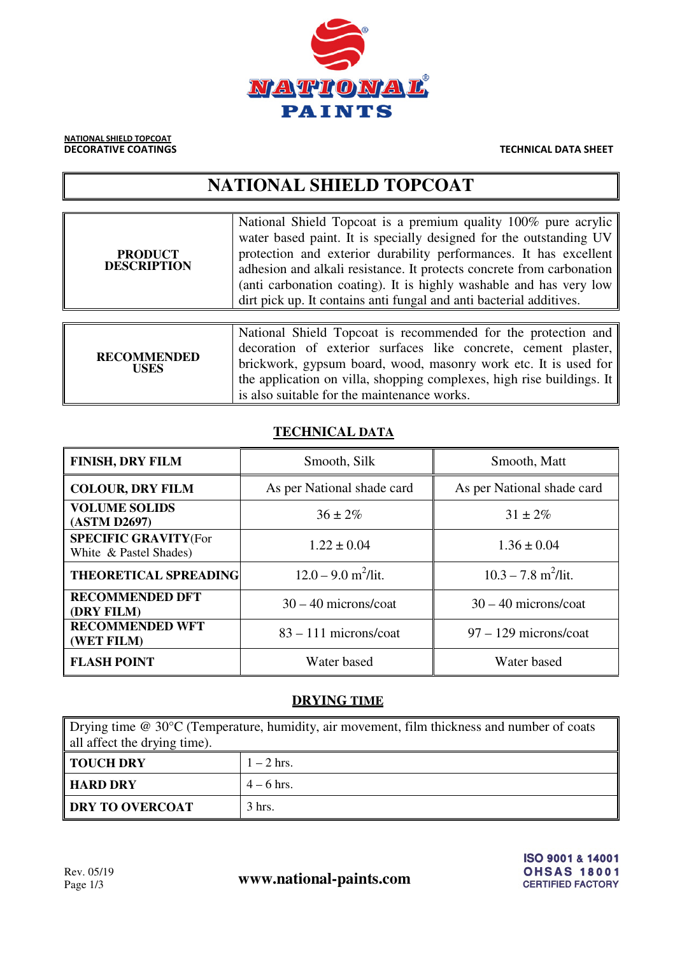

NATIONAL SHIELD TOPCOAT

**DECORATIVE COATINGS** THE CONSTRUCTED ASSESSED AS A RESIDENCE OF THE CHINESE TECHNICAL DATA SHEET

# **NATIONAL SHIELD TOPCOAT**

| <b>PRODUCT</b><br><b>DESCRIPTION</b> | National Shield Topcoat is a premium quality 100% pure acrylic<br>water based paint. It is specially designed for the outstanding UV<br>protection and exterior durability performances. It has excellent<br>adhesion and alkali resistance. It protects concrete from carbonation<br>(anti carbonation coating). It is highly washable and has very low<br>dirt pick up. It contains anti-fungal and anti-bacterial additives. |
|--------------------------------------|---------------------------------------------------------------------------------------------------------------------------------------------------------------------------------------------------------------------------------------------------------------------------------------------------------------------------------------------------------------------------------------------------------------------------------|
| <b>RECOMMENDED</b><br><b>USES</b>    | National Shield Topcoat is recommended for the protection and<br>decoration of exterior surfaces like concrete, cement plaster,<br>brickwork, gypsum board, wood, masonry work etc. It is used for<br>the application on villa, shopping complexes, high rise buildings. It<br>is also suitable for the maintenance works.                                                                                                      |

## **TECHNICAL DATA**

| <b>FINISH, DRY FILM</b>                                | Smooth, Silk                      | Smooth, Matt                      |  |
|--------------------------------------------------------|-----------------------------------|-----------------------------------|--|
| <b>COLOUR, DRY FILM</b>                                | As per National shade card        | As per National shade card        |  |
| <b>VOLUME SOLIDS</b><br>(ASTM D2697)                   | $36 \pm 2\%$                      | $31 \pm 2\%$                      |  |
| <b>SPECIFIC GRAVITY (For</b><br>White & Pastel Shades) | $1.22 \pm 0.04$                   | $1.36 \pm 0.04$                   |  |
| <b>THEORETICAL SPREADING</b>                           | $12.0 - 9.0$ m <sup>2</sup> /lit. | $10.3 - 7.8$ m <sup>2</sup> /lit. |  |
| <b>RECOMMENDED DFT</b><br>(DRY FILM)                   | $30 - 40$ microns/coat            | $30 - 40$ microns/coat            |  |
| <b>RECOMMENDED WFT</b><br>(WET FILM)                   | $83 - 111$ microns/coat           | $97 - 129$ microns/coat           |  |
| <b>FLASH POINT</b>                                     | Water based                       | Water based                       |  |

## **DRYING TIME**

| Drying time $@ 30°C$ (Temperature, humidity, air movement, film thickness and number of coats |                  |  |
|-----------------------------------------------------------------------------------------------|------------------|--|
| all affect the drying time).                                                                  |                  |  |
| <b>TOUCH DRY</b>                                                                              | $1-2$ hrs.       |  |
| <b>HARD DRY</b>                                                                               | $4 - 6$ hrs.     |  |
| <b>DRY TO OVERCOAT</b>                                                                        | $3 \text{ hrs.}$ |  |

Rev. 05/19<br>Page 1/3 **www.national-paints.com** 

ISO 9001 & 14001 **OHSAS 18001 CERTIFIED FACTORY**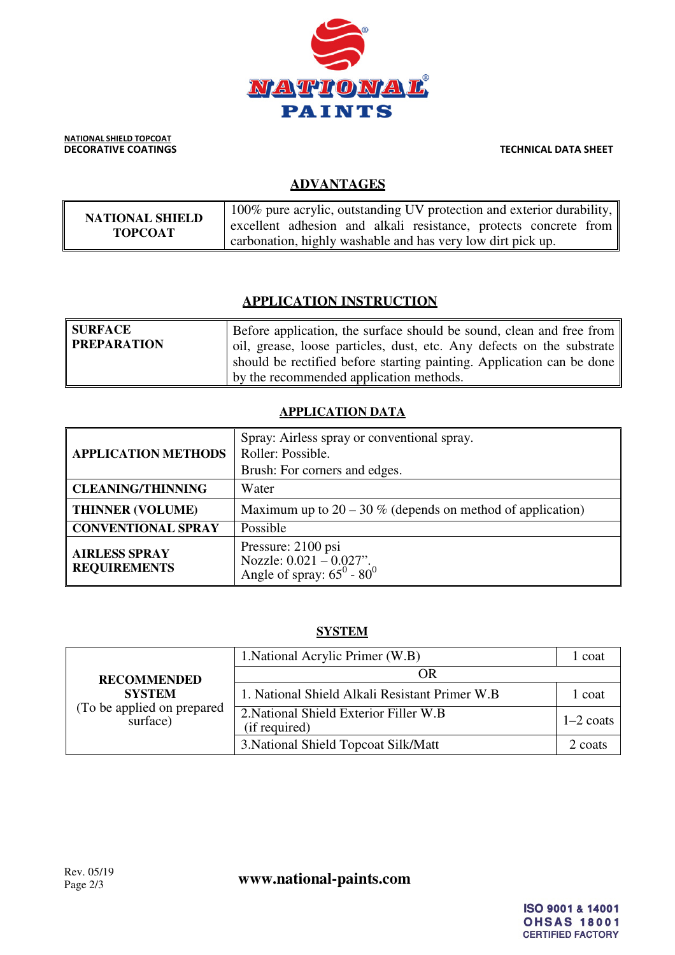

NATIONAL SHIELD TOPCOAT

**DECORATIVE COATINGS** TECHNICAL DATA SHEET

## **ADVANTAGES**

| <b>NATIONAL SHIELD</b> | 100% pure acrylic, outstanding UV protection and exterior durability, $\parallel$<br>excellent adhesion and alkali resistance, protects concrete from |
|------------------------|-------------------------------------------------------------------------------------------------------------------------------------------------------|
| <b>TOPCOAT</b>         | carbonation, highly washable and has very low dirt pick up.                                                                                           |

## **APPLICATION INSTRUCTION**

| SURFACE<br><b>PREPARATION</b> | Before application, the surface should be sound, clean and free from<br>oil, grease, loose particles, dust, etc. Any defects on the substrate<br>should be rectified before starting painting. Application can be done |
|-------------------------------|------------------------------------------------------------------------------------------------------------------------------------------------------------------------------------------------------------------------|
|                               | by the recommended application methods.                                                                                                                                                                                |

## **APPLICATION DATA**

| <b>APPLICATION METHODS</b>                  | Spray: Airless spray or conventional spray.<br>Roller: Possible.<br>Brush: For corners and edges. |  |
|---------------------------------------------|---------------------------------------------------------------------------------------------------|--|
| <b>CLEANING/THINNING</b>                    | Water                                                                                             |  |
| <b>THINNER (VOLUME)</b>                     | Maximum up to $20 - 30$ % (depends on method of application)                                      |  |
| <b>CONVENTIONAL SPRAY</b>                   | Possible                                                                                          |  |
| <b>AIRLESS SPRAY</b><br><b>REQUIREMENTS</b> | Pressure: 2100 psi<br>Nozzle: $0.021 - 0.027$ ".<br>Angle of spray: $65^{\circ}$ - $80^{\circ}$   |  |

## **SYSTEM**

| <b>RECOMMENDED</b><br><b>SYSTEM</b><br>(To be applied on prepared<br>surface) | 1. National Acrylic Primer (W.B)                        | 1 coat      |
|-------------------------------------------------------------------------------|---------------------------------------------------------|-------------|
|                                                                               | ОR                                                      |             |
|                                                                               | 1. National Shield Alkali Resistant Primer W.B          | 1 coat      |
|                                                                               | 2. National Shield Exterior Filler W.B<br>(if required) | $1-2$ coats |
|                                                                               | 3. National Shield Topcoat Silk/Matt                    | 2 coats     |